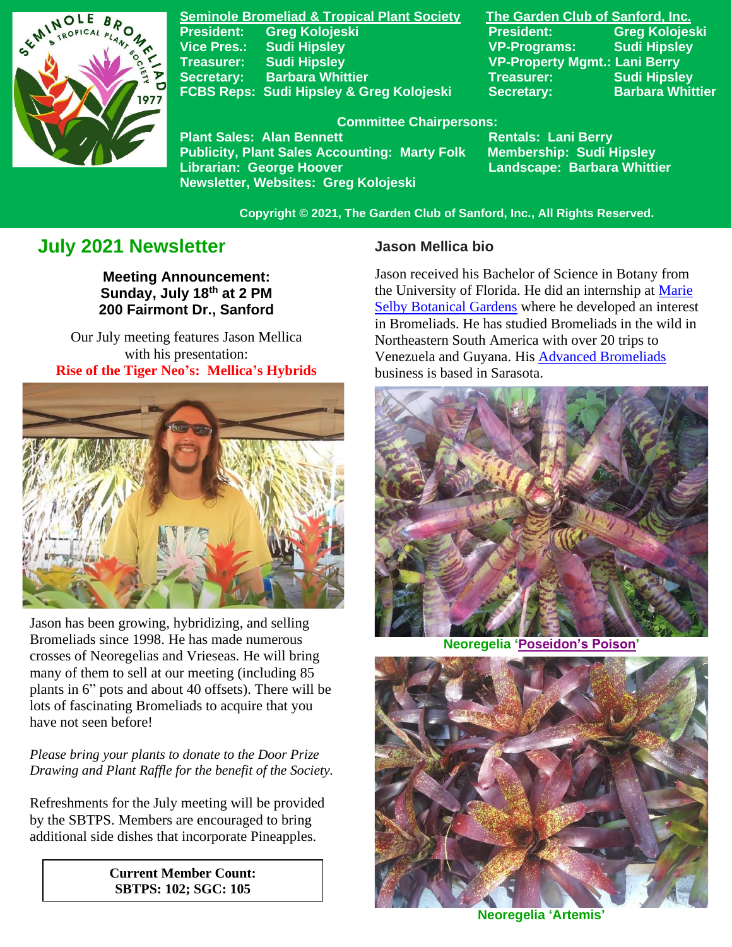

**Seminole Bromeliad & Tropical Plant Society The Garden Club of Sanford, Inc. Vice Pres.: Sudi Hipsley VP-Programs: Sudi Hipsley Treasurer: Sudi Hipsley VP-Property Mgmt.: Lani Berry Secretary:** Barbara Whittier **Network Secretary: Sudi Hipsley FCBS Reps: Sudi Hipsley & Greg Kolojeski Secretary: Barbara Whittier** 

**President: Greg Kolojeski President: Greg Kolojeski** 

#### **Committee Chairpersons:**

Plant Sales: Alan Bennett<br>Publicity, Plant Sales Accounting: Marty Folk Membership: Sudi Hipsley **Publicity, Plant Sales Accounting: Marty Folk Librarian: George Hoover Landscape: Barbara Whittier Newsletter, Websites: Greg Kolojeski**

 **Copyright © 2021, The Garden Club of Sanford, Inc., All Rights Reserved.**

## **July 2021 Newsletter**

**Meeting Announcement: Sunday, July 18th at 2 PM 200 Fairmont Dr., Sanford**

Our July meeting features Jason Mellica with his presentation: **Rise of the Tiger Neo's: Mellica's Hybrids**



 Jason has been growing, hybridizing, and selling Bromeliads since 1998. He has made numerous crosses of Neoregelias and Vrieseas. He will bring many of them to sell at our meeting (including 85 plants in 6" pots and about 40 offsets). There will be lots of fascinating Bromeliads to acquire that you have not seen before!

#### *Please bring your plants to donate to the Door Prize Drawing and Plant Raffle for the benefit of the Society.*

Refreshments for the July meeting will be provided by the SBTPS. Members are encouraged to bring additional side dishes that incorporate Pineapples.

> **Current Member Count: SBTPS: 102; SGC: 105**

#### **Jason Mellica bio**

Jason received his Bachelor of Science in Botany from the University of Florida. He did an internship at [Marie](https://selby.org/)  [Selby Botanical Gardens](https://selby.org/) where he developed an interest in Bromeliads. He has studied Bromeliads in the wild in Northeastern South America with over 20 trips to Venezuela and Guyana. His [Advanced Bromeliads](http://advancedbromeliads.com/) business is based in Sarasota.



**Neoregelia ['Poseidon's Poison'](https://www.fcbs.org/cgi-bin/dbman/db.cgi?db=neophoto&uid=default&neophotono=101013&ww=on&mh=5&view_records=View+Records)**



**Neoregelia 'Artemis'**